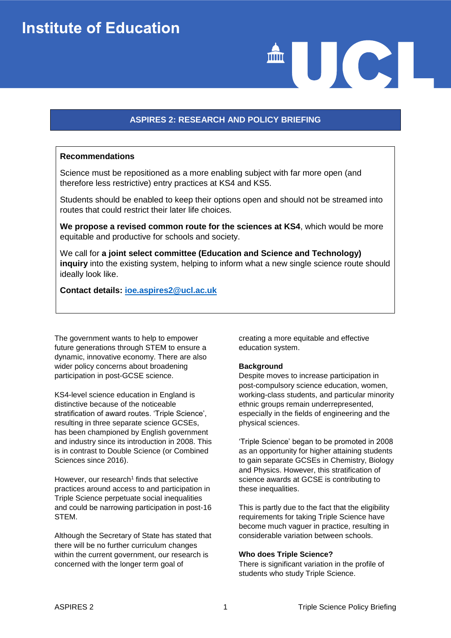# **ASPIRES 2: RESEARCH AND POLICY BRIEFING**

### **Recommendations**

Science must be repositioned as a more enabling subject with far more open (and therefore less restrictive) entry practices at KS4 and KS5.

Students should be enabled to keep their options open and should not be streamed into routes that could restrict their later life choices.

**We propose a revised common route for the sciences at KS4**, which would be more equitable and productive for schools and society.

We call for **a joint select committee (Education and Science and Technology) inquiry** into the existing system, helping to inform what a new single science route should ideally look like.

**Contact details: [ioe.aspires2@ucl.ac.uk](mailto:ioe.aspires2@ucl.ac.uk)**

The government wants to help to empower future generations through STEM to ensure a dynamic, innovative economy. There are also wider policy concerns about broadening participation in post-GCSE science.

KS4-level science education in England is distinctive because of the noticeable stratification of award routes. 'Triple Science', resulting in three separate science GCSEs, has been championed by English government and industry since its introduction in 2008. This is in contrast to Double Science (or Combined Sciences since 2016).

However, our research $1$  finds that selective practices around access to and participation in Triple Science perpetuate social inequalities and could be narrowing participation in post-16 STEM.

Although the Secretary of State has stated that there will be no further curriculum changes within the current government, our research is concerned with the longer term goal of

creating a more equitable and effective education system.

#### **Background**

Despite moves to increase participation in post-compulsory science education, women, working-class students, and particular minority ethnic groups remain underrepresented, especially in the fields of engineering and the physical sciences.

AUCI

'Triple Science' began to be promoted in 2008 as an opportunity for higher attaining students to gain separate GCSEs in Chemistry, Biology and Physics. However, this stratification of science awards at GCSE is contributing to these inequalities.

This is partly due to the fact that the eligibility requirements for taking Triple Science have become much vaguer in practice, resulting in considerable variation between schools.

#### **Who does Triple Science?**

There is significant variation in the profile of students who study Triple Science.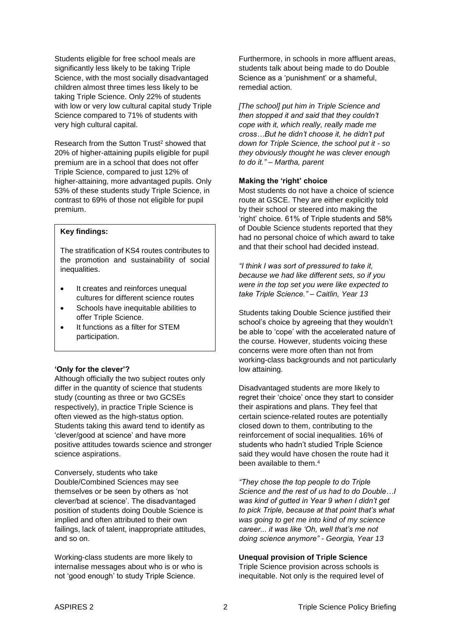Students eligible for free school meals are significantly less likely to be taking Triple Science, with the most socially disadvantaged children almost three times less likely to be taking Triple Science. Only 22% of students with low or very low cultural capital study Triple Science compared to 71% of students with very high cultural capital.

Research from the Sutton Trust<sup>2</sup> showed that 20% of higher-attaining pupils eligible for pupil premium are in a school that does not offer Triple Science, compared to just 12% of higher-attaining, more advantaged pupils. Only 53% of these students study Triple Science, in contrast to 69% of those not eligible for pupil premium.

## **Key findings:**

The stratification of KS4 routes contributes to the promotion and sustainability of social inequalities.

- It creates and reinforces unequal cultures for different science routes
- Schools have inequitable abilities to offer Triple Science.
- It functions as a filter for STEM participation.

#### **'Only for the clever'?**

Although officially the two subject routes only differ in the quantity of science that students study (counting as three or two GCSEs respectively), in practice Triple Science is often viewed as the high-status option. Students taking this award tend to identify as 'clever/good at science' and have more positive attitudes towards science and stronger science aspirations.

Conversely, students who take Double/Combined Sciences may see themselves or be seen by others as 'not clever/bad at science'. The disadvantaged position of students doing Double Science is implied and often attributed to their own failings, lack of talent, inappropriate attitudes, and so on.

Working-class students are more likely to internalise messages about who is or who is not 'good enough' to study Triple Science.

Furthermore, in schools in more affluent areas, students talk about being made to do Double Science as a 'punishment' or a shameful, remedial action.

*[The school] put him in Triple Science and then stopped it and said that they couldn't cope with it, which really, really made me cross…But he didn't choose it, he didn't put down for Triple Science, the school put it - so they obviously thought he was clever enough to do it." – Martha, parent*

#### **Making the 'right' choice**

Most students do not have a choice of science route at GSCE. They are either explicitly told by their school or steered into making the 'right' choice. 61% of Triple students and 58% of Double Science students reported that they had no personal choice of which award to take and that their school had decided instead.

*"I think I was sort of pressured to take it, because we had like different sets, so if you were in the top set you were like expected to take Triple Science." – Caitlin, Year 13*

Students taking Double Science justified their school's choice by agreeing that they wouldn't be able to 'cope' with the accelerated nature of the course. However, students voicing these concerns were more often than not from working-class backgrounds and not particularly low attaining.

Disadvantaged students are more likely to regret their 'choice' once they start to consider their aspirations and plans. They feel that certain science-related routes are potentially closed down to them, contributing to the reinforcement of social inequalities. 16% of students who hadn't studied Triple Science said they would have chosen the route had it been available to them.<sup>4</sup>

*"They chose the top people to do Triple Science and the rest of us had to do Double…I was kind of gutted in Year 9 when I didn't get to pick Triple, because at that point that's what was going to get me into kind of my science career... it was like 'Oh, well that's me not doing science anymore" - Georgia, Year 13*

#### **Unequal provision of Triple Science**

Triple Science provision across schools is inequitable. Not only is the required level of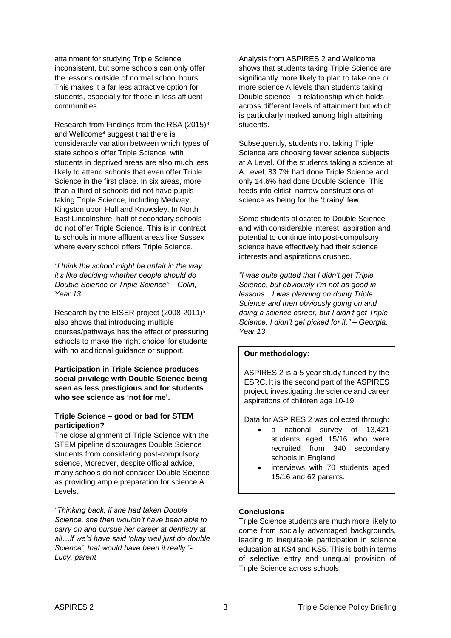attainment for studying Triple Science inconsistent, but some schools can only offer the lessons outside of normal school hours. This makes it a far less attractive option for students, especially for those in less affluent communities.

Research from Findings from the RSA (2015)<sup>3</sup> and Wellcome<sup>4</sup> suggest that there is considerable variation between which types of state schools offer Triple Science, with students in deprived areas are also much less likely to attend schools that even offer Triple Science in the first place. In six areas, more than a third of schools did not have pupils taking Triple Science, including Medway, Kingston upon Hull and Knowsley. In North East Lincolnshire, half of secondary schools do not offer Triple Science. This is in contract to schools in more affluent areas like Sussex where every school offers Triple Science.

*"I think the school might be unfair in the way it's like deciding whether people should do Double Science or Triple Science" – Colin, Year 13*

Research by the EISER project (2008-2011)<sup>5</sup> also shows that introducing multiple courses/pathways has the effect of pressuring schools to make the 'right choice' for students with no additional guidance or support.

**Participation in Triple Science produces social privilege with Double Science being seen as less prestigious and for students who see science as 'not for me'.**

## **Triple Science – good or bad for STEM participation?**

The close alignment of Triple Science with the STEM pipeline discourages Double Science students from considering post-compulsory science, Moreover, despite official advice, many schools do not consider Double Science as providing ample preparation for science A Levels.

*"Thinking back, if she had taken Double Science, she then wouldn't have been able to carry on and pursue her career at dentistry at all…If we'd have said 'okay well just do double Science', that would have been it really."- Lucy, parent*

Analysis from ASPIRES 2 and Wellcome shows that students taking Triple Science are significantly more likely to plan to take one or more science A levels than students taking Double science - a relationship which holds across different levels of attainment but which is particularly marked among high attaining students.

Subsequently, students not taking Triple Science are choosing fewer science subjects at A Level. Of the students taking a science at A Level, 83.7% had done Triple Science and only 14.6% had done Double Science. This feeds into elitist, narrow constructions of science as being for the 'brainy' few.

Some students allocated to Double Science and with considerable interest, aspiration and potential to continue into post-compulsory science have effectively had their science interests and aspirations crushed.

*"I was quite gutted that I didn't get Triple Science, but obviously I'm not as good in lessons…I was planning on doing Triple Science and then obviously going on and doing a science career, but I didn't get Triple Science, I didn't get picked for it." – Georgia, Year 13*

## **Our methodology:**

ASPIRES 2 is a 5 year study funded by the ESRC. It is the second part of the ASPIRES project, investigating the science and career aspirations of children age 10-19.

Data for ASPIRES 2 was collected through:

- a national survey of 13,421 students aged 15/16 who were recruited from 340 secondary schools in England
- interviews with 70 students aged 15/16 and 62 parents.

## **Conclusions**

Triple Science students are much more likely to come from socially advantaged backgrounds, leading to inequitable participation in science education at KS4 and KS5. This is both in terms of selective entry and unequal provision of Triple Science across schools.